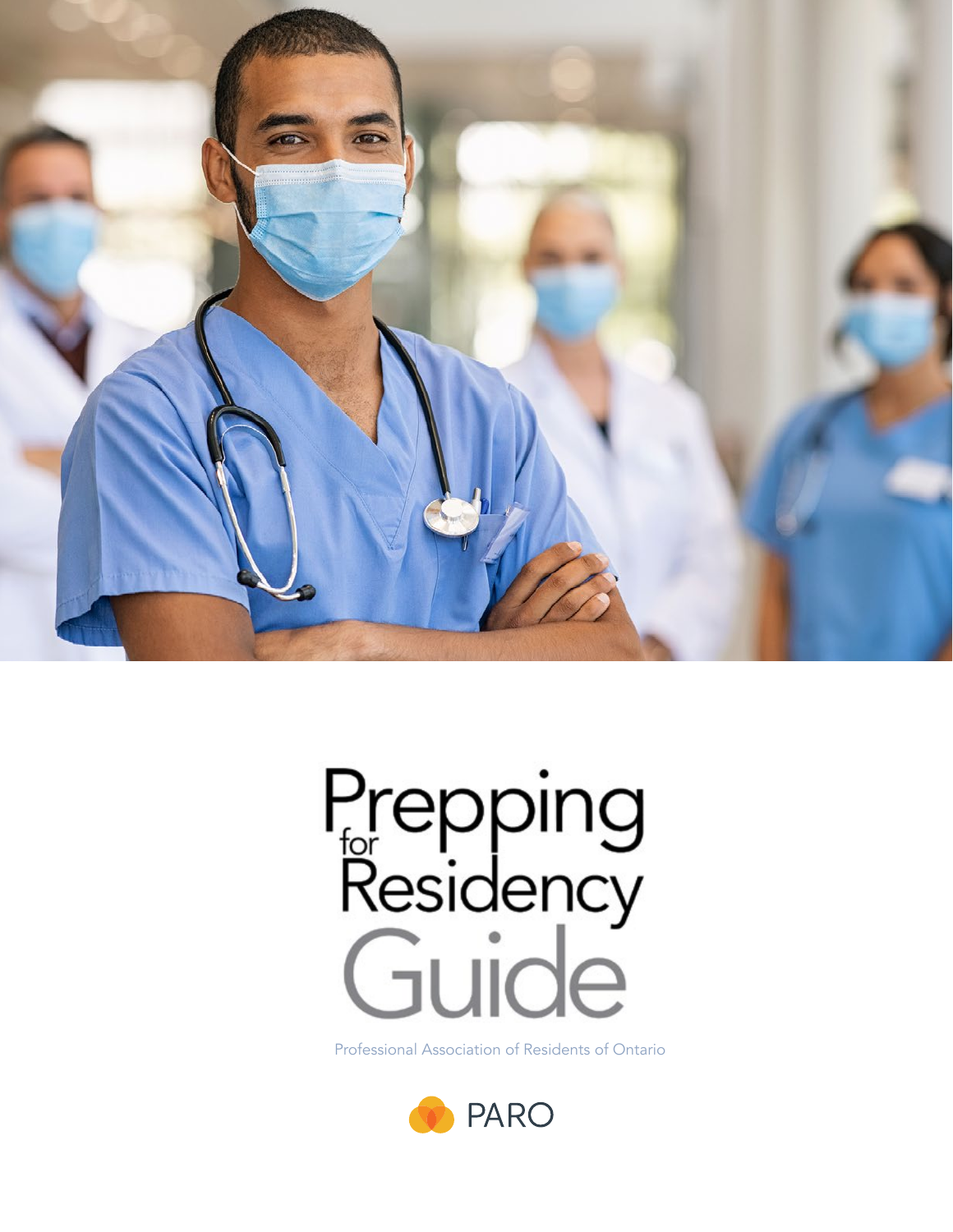

# Prepping<br>Residency<br>Guide

Professional Association of Residents of Ontario

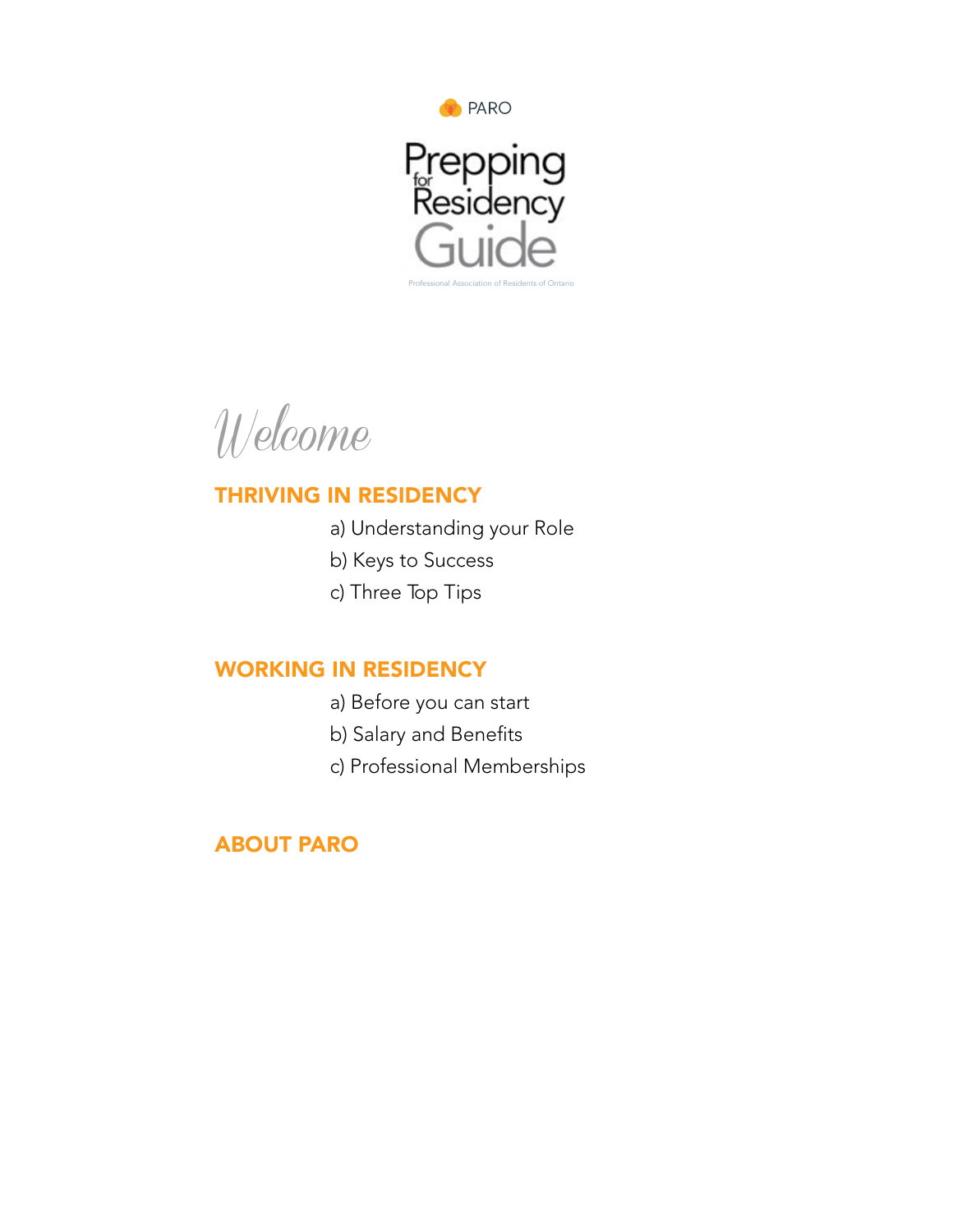

Welcome

# [THRIVING IN RESIDENCY](#page-3-0)

- [a\) Understanding your Role](#page-3-1)
- [b\) Keys to Success](#page-3-2)
- [c\) Three Top Tips](#page-4-0)

# [WORKING IN RESIDENCY](#page-6-0)

- [a\) Before you can start](#page-6-0)
- [b\) Salary and Benefits](#page-7-0)
- [c\) Professional Memberships](#page-13-0)

# [ABOUT PARO](#page-15-0)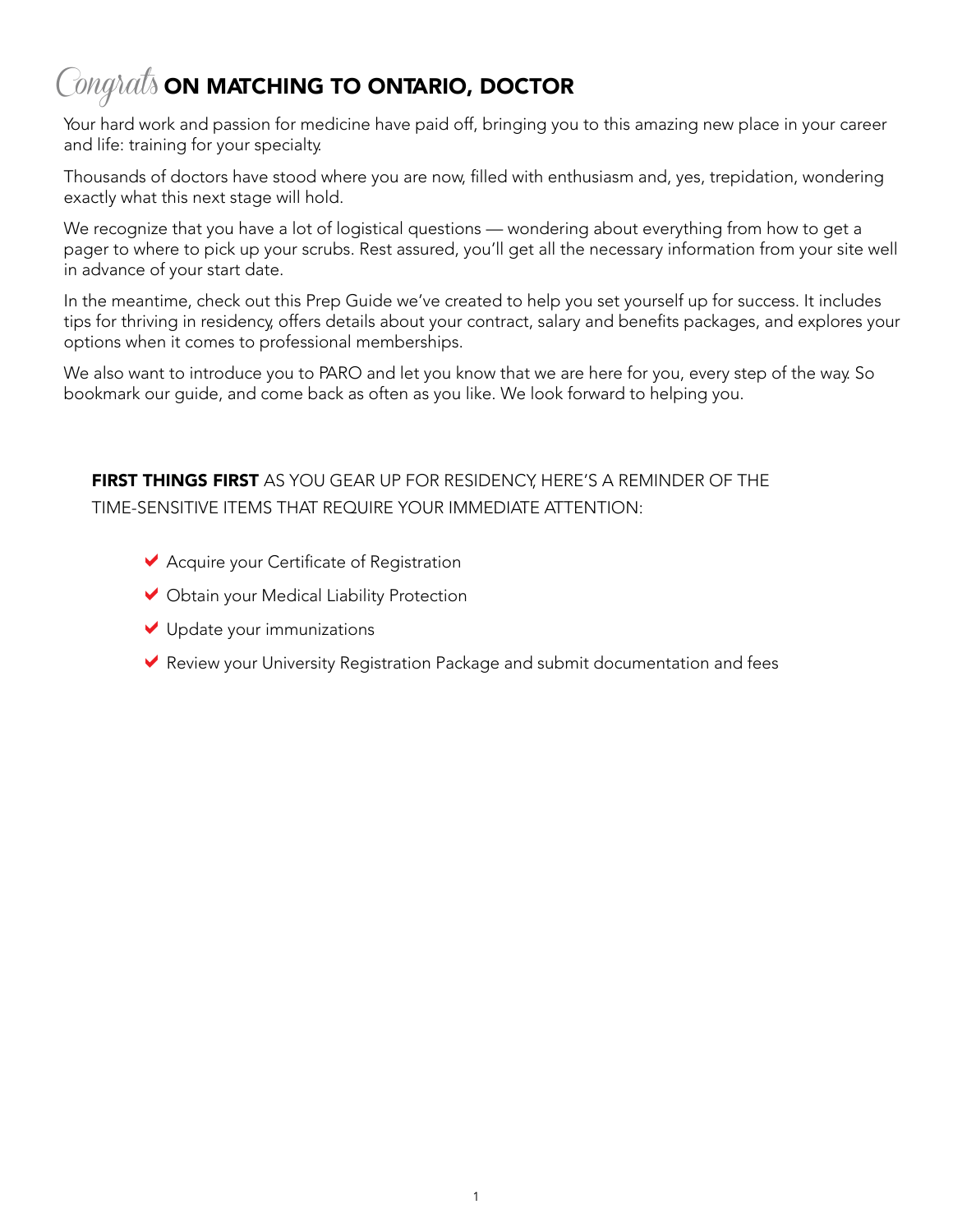# $\mathcal{C}$ ongra $t$ s on matching to ontario, doctor

Your hard work and passion for medicine have paid off, bringing you to this amazing new place in your career and life: training for your specialty.

Thousands of doctors have stood where you are now, filled with enthusiasm and, yes, trepidation, wondering exactly what this next stage will hold.

We recognize that you have a lot of logistical questions — wondering about everything from how to get a pager to where to pick up your scrubs. Rest assured, you'll get all the necessary information from your site well in advance of your start date.

In the meantime, check out this Prep Guide we've created to help you set yourself up for success. It includes tips for thriving in residency, offers details about your contract, salary and benefits packages, and explores your options when it comes to professional memberships.

We also want to introduce you to PARO and let you know that we are here for you, every step of the way. So bookmark our guide, and come back as often as you like. We look forward to helping you.

# FIRST THINGS FIRST AS YOU GEAR UP FOR RESIDENCY, HERE'S A REMINDER OF THE TIME-SENSITIVE ITEMS THAT REQUIRE YOUR IMMEDIATE ATTENTION:

- $\blacktriangleright$  Acquire your Certificate of Registration
- $\vee$  Obtain your Medical Liability Protection
- $\vee$  Update your immunizations
- $\blacktriangleright$  Review your University Registration Package and submit documentation and fees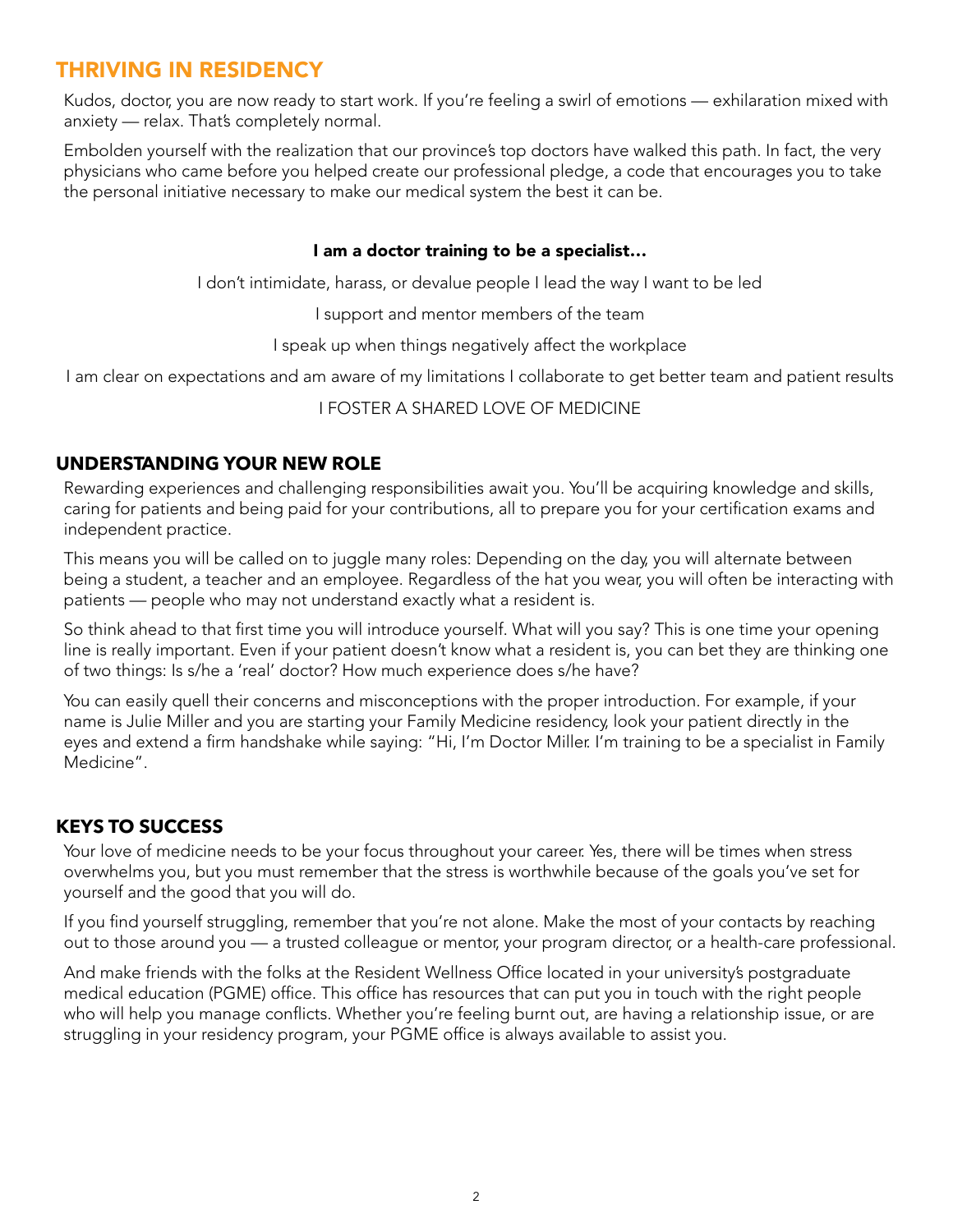# <span id="page-3-0"></span>THRIVING IN RESIDENCY

Kudos, doctor, you are now ready to start work. If you're feeling a swirl of emotions — exhilaration mixed with anxiety — relax. That's completely normal.

Embolden yourself with the realization that our province's top doctors have walked this path. In fact, the very physicians who came before you helped create our professional pledge, a code that encourages you to take the personal initiative necessary to make our medical system the best it can be.

### I am a doctor training to be a specialist…

I don't intimidate, harass, or devalue people I lead the way I want to be led

I support and mentor members of the team

I speak up when things negatively affect the workplace

I am clear on expectations and am aware of my limitations I collaborate to get better team and patient results

I FOSTER A SHARED LOVE OF MEDICINE

### <span id="page-3-1"></span>**UNDERSTANDING YOUR NEW ROLE**

Rewarding experiences and challenging responsibilities await you. You'll be acquiring knowledge and skills, caring for patients and being paid for your contributions, all to prepare you for your certification exams and independent practice.

This means you will be called on to juggle many roles: Depending on the day, you will alternate between being a student, a teacher and an employee. Regardless of the hat you wear, you will often be interacting with patients — people who may not understand exactly what a resident is.

So think ahead to that first time you will introduce yourself. What will you say? This is one time your opening line is really important. Even if your patient doesn't know what a resident is, you can bet they are thinking one of two things: Is s/he a 'real' doctor? How much experience does s/he have?

You can easily quell their concerns and misconceptions with the proper introduction. For example, if your name is Julie Miller and you are starting your Family Medicine residency, look your patient directly in the eyes and extend a firm handshake while saying: "Hi, I'm Doctor Miller. I'm training to be a specialist in Family Medicine".

# <span id="page-3-2"></span>**KEYS TO SUCCESS**

Your love of medicine needs to be your focus throughout your career. Yes, there will be times when stress overwhelms you, but you must remember that the stress is worthwhile because of the goals you've set for yourself and the good that you will do.

If you find yourself struggling, remember that you're not alone. Make the most of your contacts by reaching out to those around you — a trusted colleague or mentor, your program director, or a health-care professional.

And make friends with the folks at the Resident Wellness Office located in your university's postgraduate medical education (PGME) office. This office has resources that can put you in touch with the right people who will help you manage conflicts. Whether you're feeling burnt out, are having a relationship issue, or are struggling in your residency program, your PGME office is always available to assist you.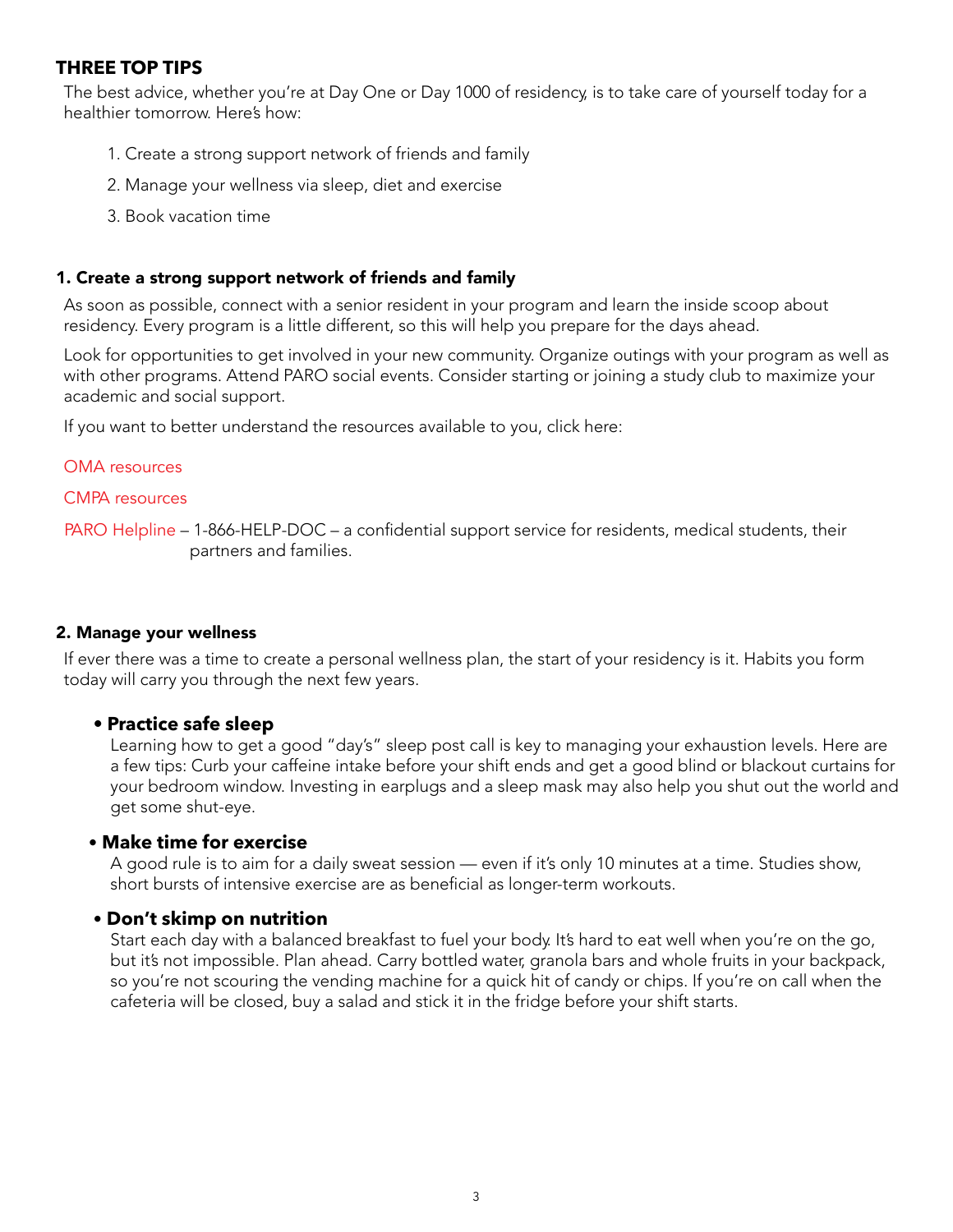### <span id="page-4-0"></span>**THREE TOP TIPS**

The best advice, whether you're at Day One or Day 1000 of residency, is to take care of yourself today for a healthier tomorrow. Here's how:

- 1. Create a strong support network of friends and family
- 2. Manage your wellness via sleep, diet and exercise
- 3. Book vacation time

### 1. Create a strong support network of friends and family

As soon as possible, connect with a senior resident in your program and learn the inside scoop about residency. Every program is a little different, so this will help you prepare for the days ahead.

Look for opportunities to get involved in your new community. Organize outings with your program as well as with other programs. Attend PARO social events. Consider starting or joining a study club to maximize your academic and social support.

If you want to better understand the resources available to you, click here:

### [OMA resources](http://php.oma.org/)

[CMPA resources](https://www.cmpa-acpm.ca/en/advice-publications/physician-wellness)

 [PARO Helpline](https://myparo.ca/helpline/) – 1-866-HELP-DOC – a confidential support service for residents, medical students, their partners and families.

### 2. Manage your wellness

If ever there was a time to create a personal wellness plan, the start of your residency is it. Habits you form today will carry you through the next few years.

### **• Practice safe sleep**

Learning how to get a good "day's" sleep post call is key to managing your exhaustion levels. Here are a few tips: Curb your caffeine intake before your shift ends and get a good blind or blackout curtains for your bedroom window. Investing in earplugs and a sleep mask may also help you shut out the world and get some shut-eye.

### • **Make time for exercise**

A good rule is to aim for a daily sweat session — even if it's only 10 minutes at a time. Studies show, short bursts of intensive exercise are as beneficial as longer-term workouts.

### • **Don't skimp on nutrition**

Start each day with a balanced breakfast to fuel your body. It's hard to eat well when you're on the go, but it's not impossible. Plan ahead. Carry bottled water, granola bars and whole fruits in your backpack, so you're not scouring the vending machine for a quick hit of candy or chips. If you're on call when the cafeteria will be closed, buy a salad and stick it in the fridge before your shift starts.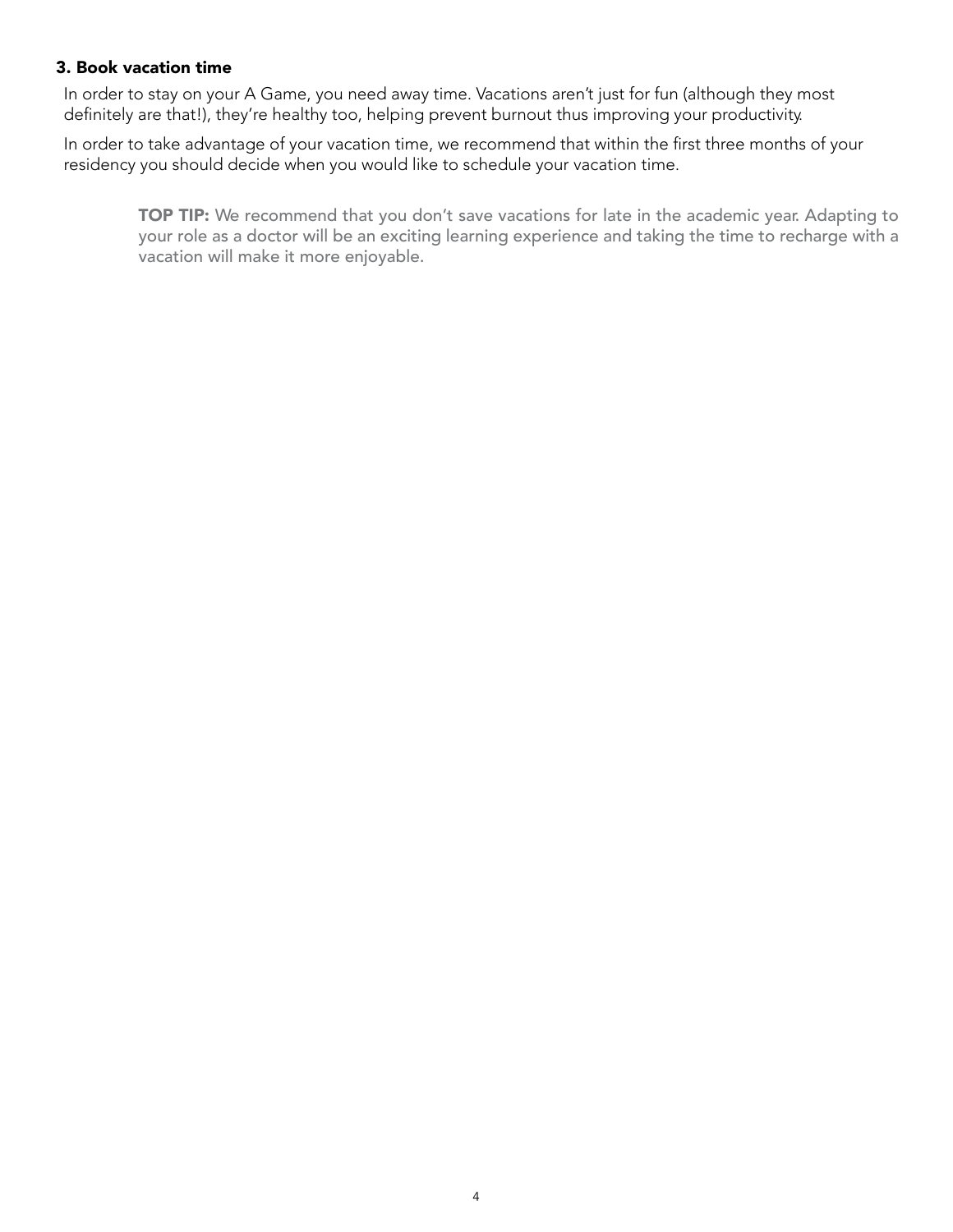### 3. Book vacation time

In order to stay on your A Game, you need away time. Vacations aren't just for fun (although they most definitely are that!), they're healthy too, helping prevent burnout thus improving your productivity.

In order to take advantage of your vacation time, we recommend that within the first three months of your residency you should decide when you would like to schedule your vacation time.

TOP TIP: We recommend that you don't save vacations for late in the academic year. Adapting to your role as a doctor will be an exciting learning experience and taking the time to recharge with a vacation will make it more enjoyable.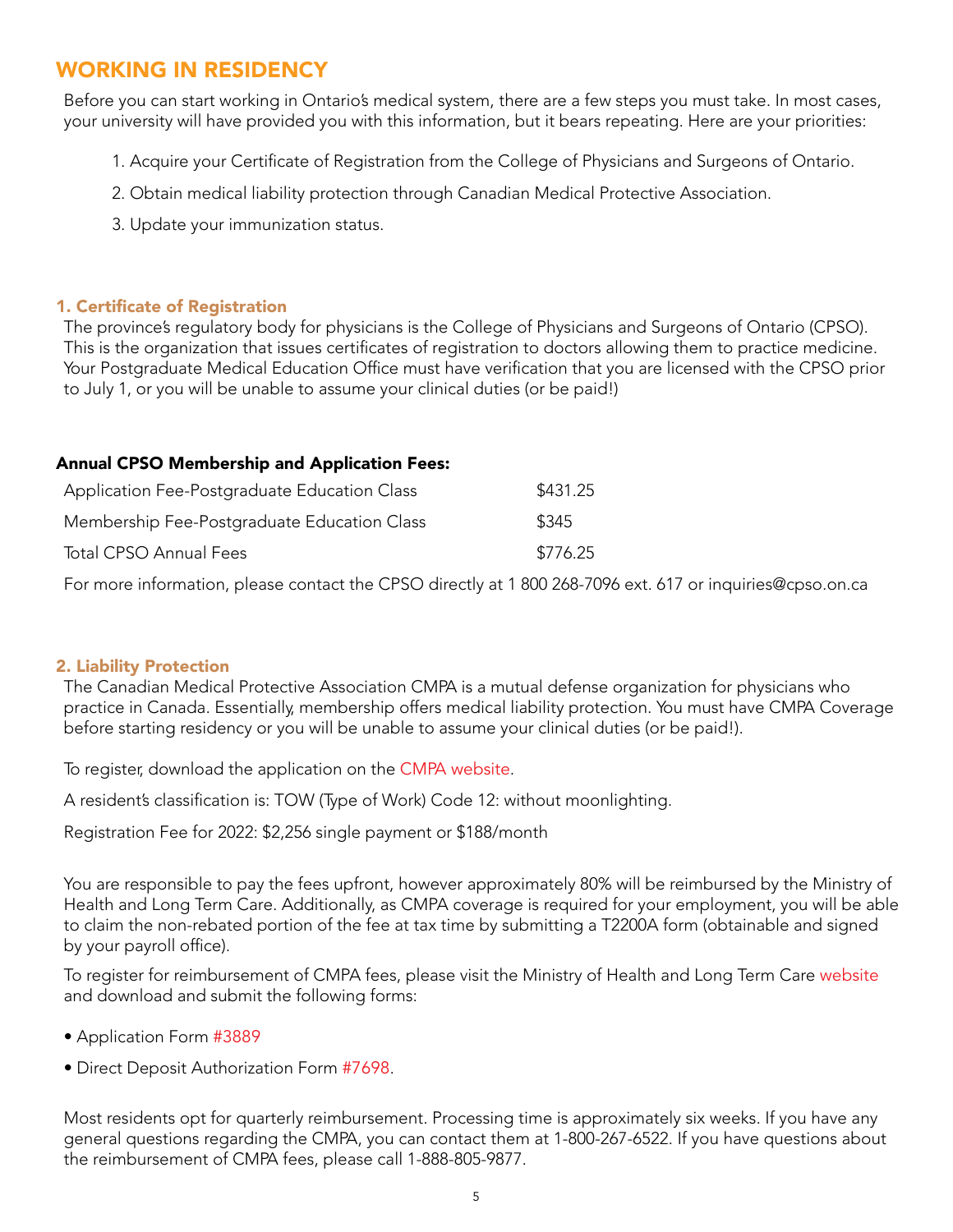# <span id="page-6-0"></span>WORKING IN RESIDENCY

Before you can start working in Ontario's medical system, there are a few steps you must take. In most cases, your university will have provided you with this information, but it bears repeating. Here are your priorities:

- 1. Acquire your Certificate of Registration from the College of Physicians and Surgeons of Ontario.
- 2. Obtain medical liability protection through Canadian Medical Protective Association.
- 3. Update your immunization status.

### 1. Certificate of Registration

The province's regulatory body for physicians is the College of Physicians and Surgeons of Ontario (CPSO). This is the organization that issues certificates of registration to doctors allowing them to practice medicine. Your Postgraduate Medical Education Office must have verification that you are licensed with the CPSO prior to July 1, or you will be unable to assume your clinical duties (or be paid!)

### Annual CPSO Membership and Application Fees:

| Application Fee-Postgraduate Education Class | \$431.25 |
|----------------------------------------------|----------|
| Membership Fee-Postgraduate Education Class  | \$345    |
| <b>Total CPSO Annual Fees</b>                | \$776.25 |

For more information, please contact the CPSO directly at 1 800 268-7096 ext. 617 or [inquiries@cpso.on.ca](mailto:inquiries%40cpso.on.ca?subject=)

### 2. Liability Protection

The Canadian Medical Protective Association CMPA is a mutual defense organization for physicians who practice in Canada. Essentially, membership offers medical liability protection. You must have CMPA Coverage before starting residency or you will be unable to assume your clinical duties (or be paid!).

To register, download the application on the [CMPA website](https://www.cmpa-acpm.ca/en/joining-cmpa/residents-and-clinical-fellows).

A resident's classification is: TOW (Type of Work) Code 12: without moonlighting.

Registration Fee for 2022: \$2,256 single payment or \$188/month

You are responsible to pay the fees upfront, however approximately 80% will be reimbursed by the Ministry of Health and Long Term Care. Additionally, as CMPA coverage is required for your employment, you will be able to claim the non-rebated portion of the fee at tax time by submitting a T2200A form (obtainable and signed by your payroll office).

To register for reimbursement of CMPA fees, please visit the Ministry of Health and Long Term Care [website](http://www.health.gov.on.ca/en/pro/programs/ohip/mlp/options.aspx) and download and submit the following forms:

- • [Application Form](http://www.health.gov.on.ca/en/pro/programs/ohip/mlp/forms.aspx) #3889
- Direct Deposit Authorization Form [#7698](http://www.forms.ssb.gov.on.ca/mbs/ssb/forms/ssbforms.nsf/FormDetail?openform&ENV=WWE&NO=014-7698-84).

Most residents opt for quarterly reimbursement. Processing time is approximately six weeks. If you have any general questions regarding the CMPA, you can contact them at 1-800-267-6522. If you have questions about the reimbursement of CMPA fees, please call 1-888-805-9877.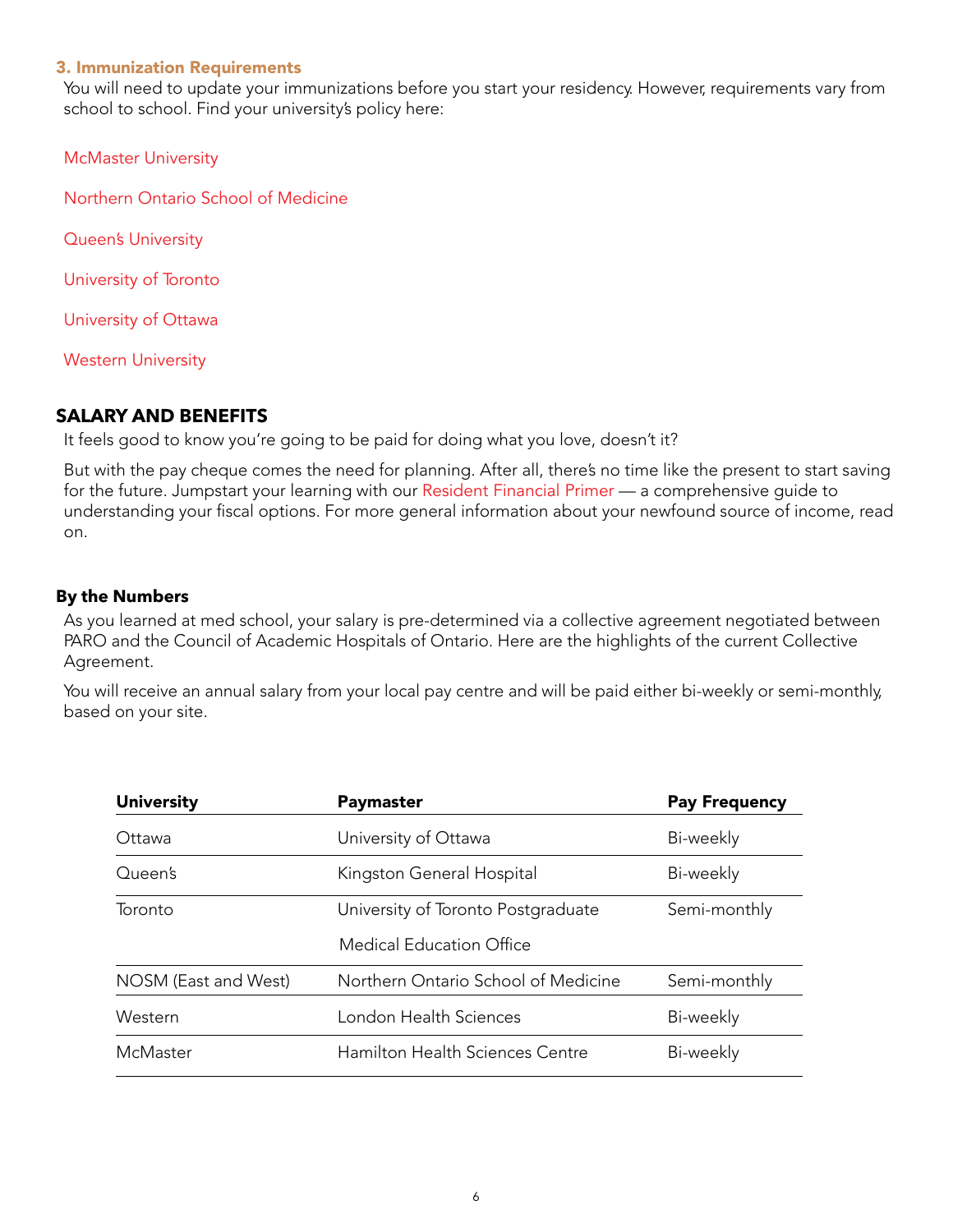### 3. Immunization Requirements

You will need to update your immunizations before you start your residency. However, requirements vary from school to school. Find your university's policy here:

[McMaster University](https://fhs.mcmaster.ca/healthscreening/postgraduate_medical_students.html)

[Northern Ontario School of Medicine](https://www.nosm.ca/wp-content/uploads/2018/05/NOSM-Learner-Immunization-Form_2015.pdf) 

[Queen's University](http://cou.on.ca/papers/immunization-policy/)

[University of Toronto](https://pg.postmd.utoronto.ca/current-trainees/before-starting-a-new-training-session/register-with-pgme-2/pgme-immunization-requirements/) 

[University of Ottawa](https://med.uottawa.ca/postgraduate/current-trainees/registration/immunization-requirements) 

[Western University](https://cou.ca/reports/cofm-immunization-policy/)

### <span id="page-7-0"></span>**SALARY AND BENEFITS**

It feels good to know you're going to be paid for doing what you love, doesn't it?

But with the pay cheque comes the need for planning. After all, there's no time like the present to start saving for the future. Jumpstart your learning with our [Resident Financial Primer](http://www.myparo.ca/financial-primer/) — a comprehensive guide to understanding your fiscal options. For more general information about your newfound source of income, read on.

### **By the Numbers**

As you learned at med school, your salary is pre-determined via a collective agreement negotiated between PARO and the Council of Academic Hospitals of Ontario. Here are the highlights of the current Collective Agreement.

You will receive an annual salary from your local pay centre and will be paid either bi-weekly or semi-monthly, based on your site.

| <b>University</b>    | Paymaster                              | <b>Pay Frequency</b> |
|----------------------|----------------------------------------|----------------------|
| Ottawa               | University of Ottawa                   | Bi-weekly            |
| Queen's              | Kingston General Hospital              | Bi-weekly            |
| Toronto              | University of Toronto Postgraduate     | Semi-monthly         |
|                      | Medical Education Office               |                      |
| NOSM (East and West) | Northern Ontario School of Medicine    | Semi-monthly         |
| Western              | London Health Sciences                 | Bi-weekly            |
| McMaster             | <b>Hamilton Health Sciences Centre</b> | Bi-weekly            |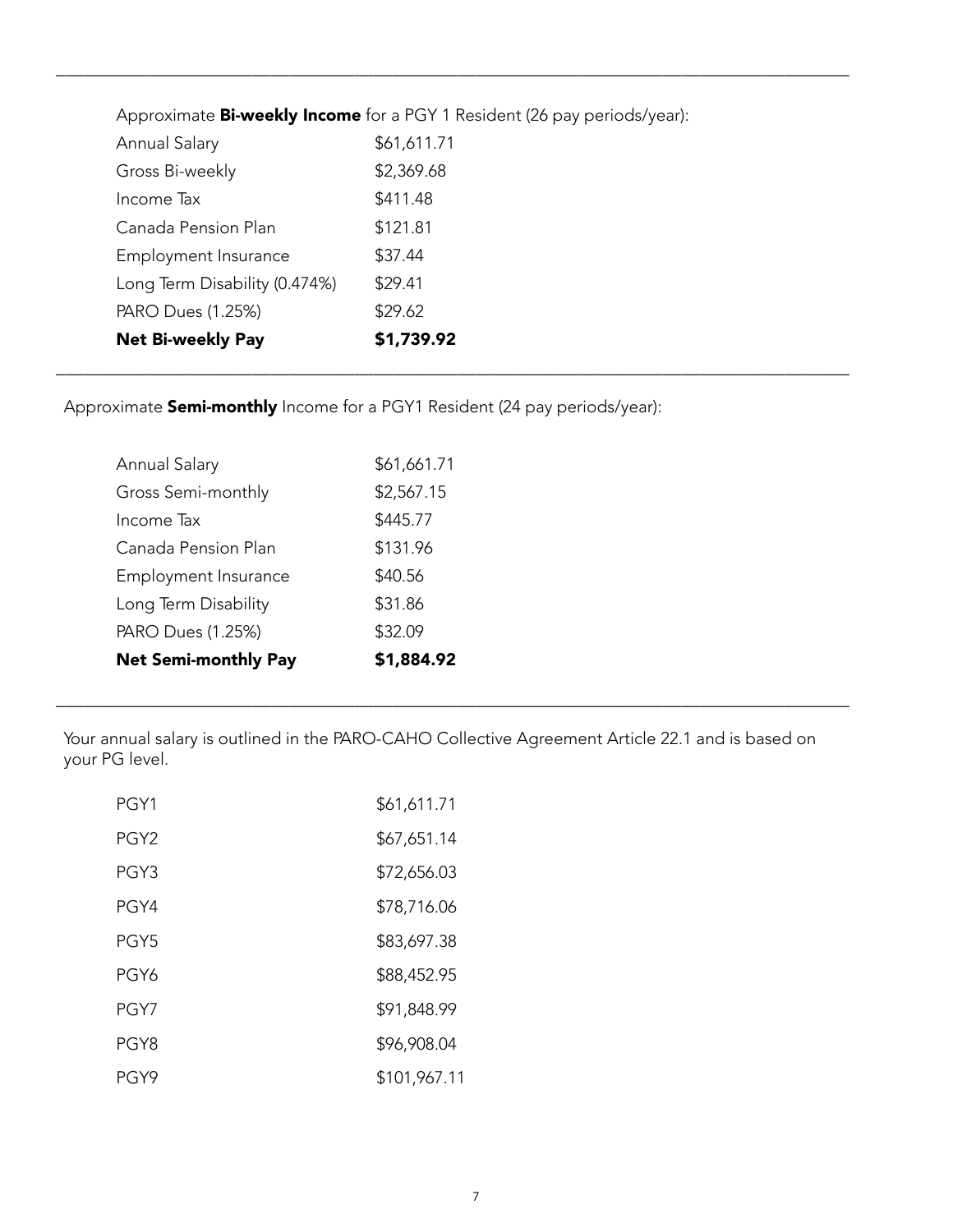| Approximate <b>Bi-weekly Income</b> for a PGY 1 Resident (26 pay periods/year): |             |  |
|---------------------------------------------------------------------------------|-------------|--|
| Annual Salary                                                                   | \$61,611.71 |  |
| Gross Bi-weekly                                                                 | \$2,369.68  |  |
| Income Tax                                                                      | \$411.48    |  |
| Canada Pension Plan                                                             | \$121.81    |  |
| Employment Insurance                                                            | \$37.44     |  |
| Long Term Disability (0.474%)                                                   | \$29.41     |  |
| PARO Dues (1.25%)                                                               | \$29.62     |  |
| <b>Net Bi-weekly Pay</b>                                                        | \$1,739.92  |  |

\_\_\_\_\_\_\_\_\_\_\_\_\_\_\_\_\_\_\_\_\_\_\_\_\_\_\_\_\_\_\_\_\_\_\_\_\_\_\_\_\_\_\_\_\_\_\_\_\_\_\_\_\_\_\_\_\_\_\_\_\_\_\_\_\_\_\_\_\_\_\_\_\_\_\_\_\_\_\_\_\_\_\_\_\_

\_\_\_\_\_\_\_\_\_\_\_\_\_\_\_\_\_\_\_\_\_\_\_\_\_\_\_\_\_\_\_\_\_\_\_\_\_\_\_\_\_\_\_\_\_\_\_\_\_\_\_\_\_\_\_\_\_\_\_\_\_\_\_\_\_\_\_\_\_\_\_\_\_\_\_\_\_\_\_\_\_\_\_\_\_

Approximate **Semi-monthly** Income for a PGY1 Resident (24 pay periods/year):

| <b>Net Semi-monthly Pay</b> | \$1,884.92  |
|-----------------------------|-------------|
| PARO Dues (1.25%)           | \$32.09     |
| Long Term Disability        | \$31.86     |
| Employment Insurance        | \$40.56     |
| Canada Pension Plan         | \$131.96    |
| Income Tax                  | \$445.77    |
| Gross Semi-monthly          | \$2,567.15  |
| Annual Salary               | \$61,661.71 |
|                             |             |

Your annual salary is outlined in the PARO-CAHO Collective Agreement Article 22.1 and is based on your PG level.

\_\_\_\_\_\_\_\_\_\_\_\_\_\_\_\_\_\_\_\_\_\_\_\_\_\_\_\_\_\_\_\_\_\_\_\_\_\_\_\_\_\_\_\_\_\_\_\_\_\_\_\_\_\_\_\_\_\_\_\_\_\_\_\_\_\_\_\_\_\_\_\_\_\_\_\_\_\_\_\_\_\_\_\_\_

| PGY1             | \$61,611.71  |
|------------------|--------------|
| PGY <sub>2</sub> | \$67,651.14  |
| PGY3             | \$72,656.03  |
| PGY4             | \$78,716.06  |
| PGY5             | \$83,697.38  |
| PGY6             | \$88,452.95  |
| PGY7             | \$91,848.99  |
| PGY8             | \$96,908.04  |
| PGY9             | \$101,967.11 |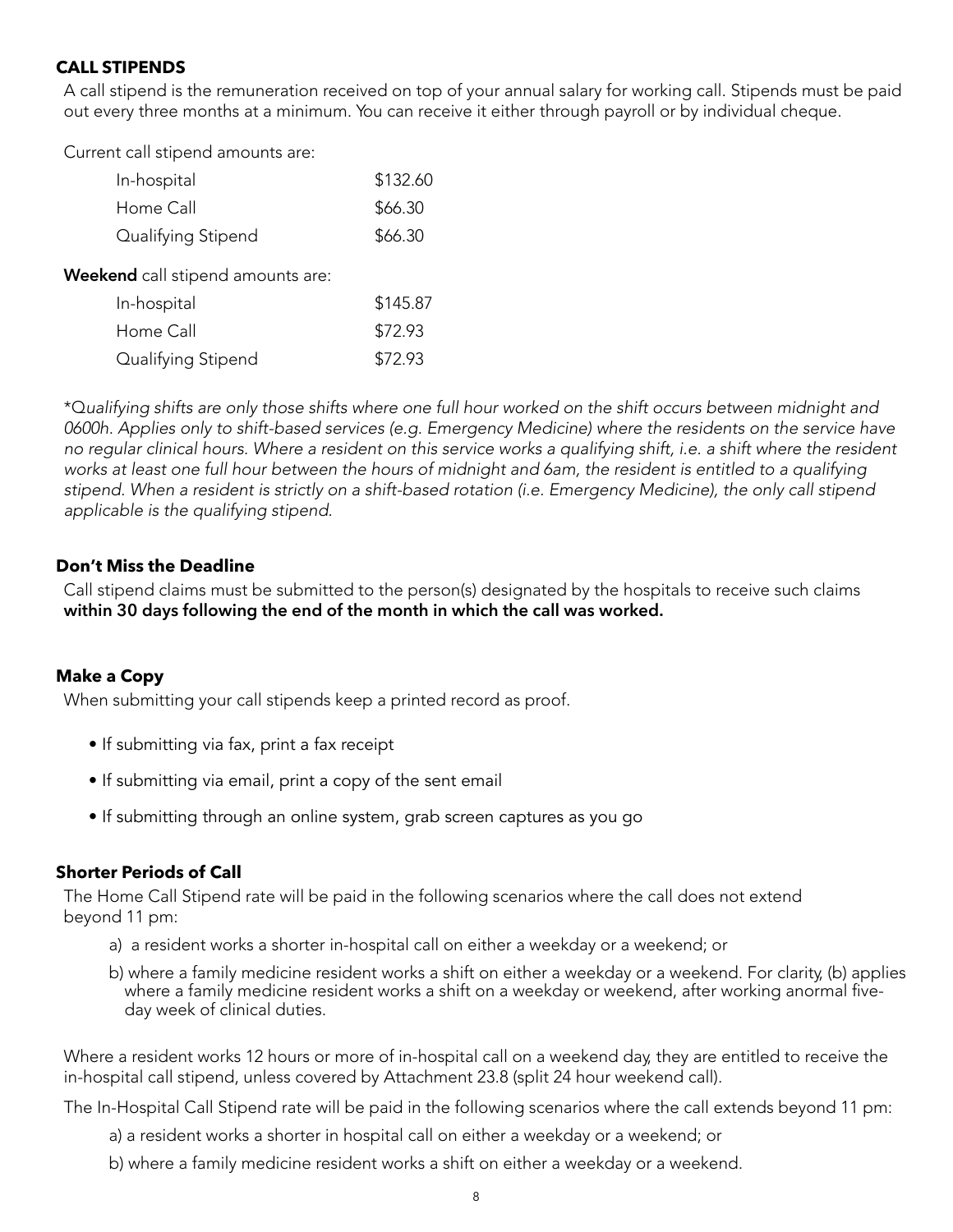### **CALL STIPENDS**

A call stipend is the remuneration received on top of your annual salary for working call. Stipends must be paid out every three months at a minimum. You can receive it either through payroll or by individual cheque.

Current call stipend amounts are:

| In-hospital                              | \$132.60 |
|------------------------------------------|----------|
| Home Call                                | \$66.30  |
| Qualifying Stipend                       | \$66.30  |
| <b>Weekend</b> call stipend amounts are: |          |
| In-hospital                              | \$145.87 |
| Home Call                                | \$72.93  |
| Qualifying Stipend                       | \$72.93  |

\*Q*ualifying shifts are only those shifts where one full hour worked on the shift occurs between midnight and 0600h. Applies only to shift-based services (e.g. Emergency Medicine) where the residents on the service have no regular clinical hours. Where a resident on this service works a qualifying shift, i.e. a shift where the resident works at least one full hour between the hours of midnight and 6am, the resident is entitled to a qualifying stipend. When a resident is strictly on a shift-based rotation (i.e. Emergency Medicine), the only call stipend applicable is the qualifying stipend.*

### **Don't Miss the Deadline**

Call stipend claims must be submitted to the person(s) designated by the hospitals to receive such claims **within 30 days following the end of the month in which the call was worked.**

### **Make a Copy**

When submitting your call stipends keep a printed record as proof.

- If submitting via fax, print a fax receipt
- If submitting via email, print a copy of the sent email
- If submitting through an online system, grab screen captures as you go

### **Shorter Periods of Call**

The Home Call Stipend rate will be paid in the following scenarios where the call does not extend beyond 11 pm:

- a) a resident works a shorter in-hospital call on either a weekday or a weekend; or
- b) where a family medicine resident works a shift on either a weekday or a weekend. For clarity, (b) applies where a family medicine resident works a shift on a weekday or weekend, after working anormal fiveday week of clinical duties.

Where a resident works 12 hours or more of in-hospital call on a weekend day, they are entitled to receive the in-hospital call stipend, unless covered by Attachment 23.8 (split 24 hour weekend call).

The In-Hospital Call Stipend rate will be paid in the following scenarios where the call extends beyond 11 pm:

- a) a resident works a shorter in hospital call on either a weekday or a weekend; or
- b) where a family medicine resident works a shift on either a weekday or a weekend.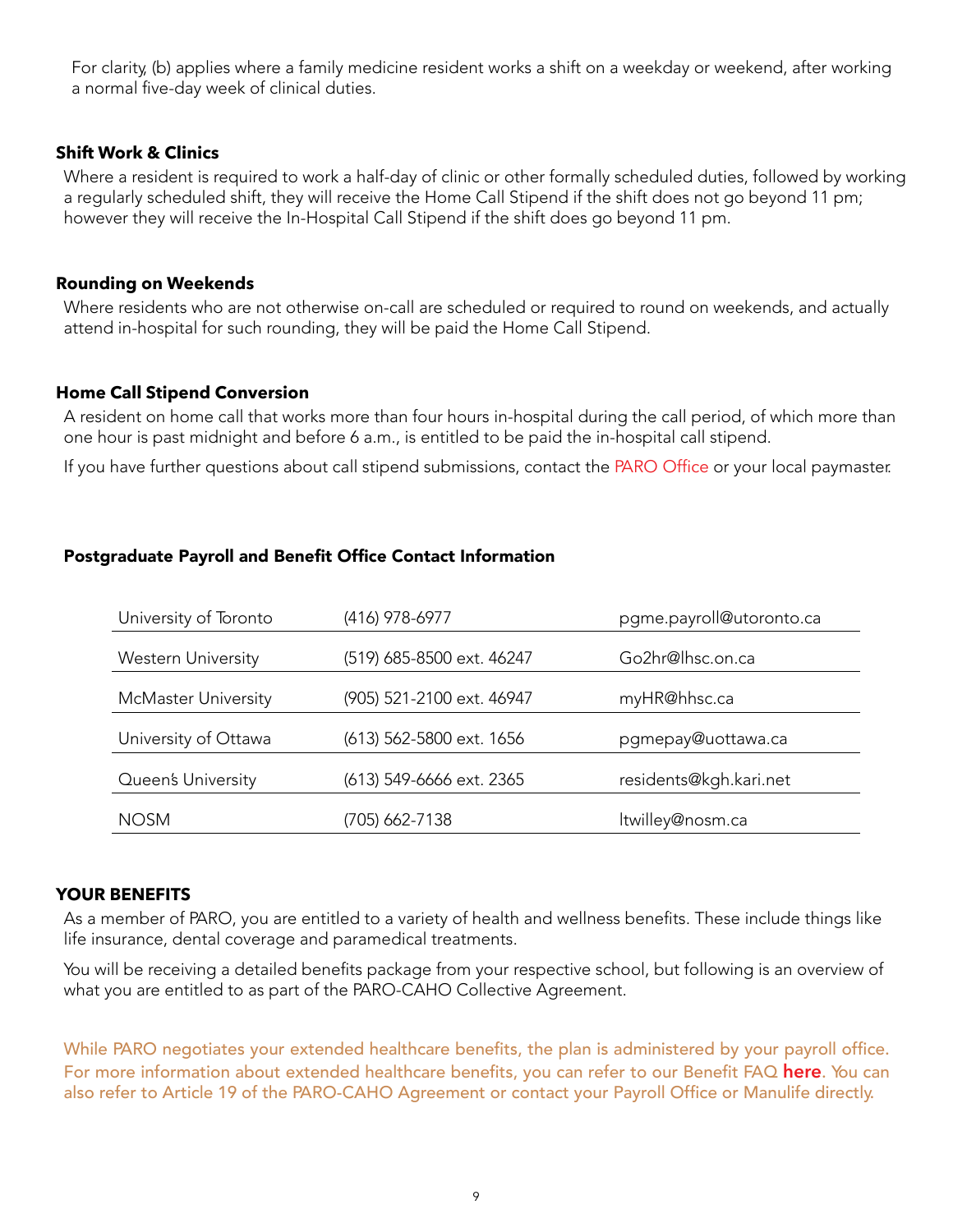For clarity, (b) applies where a family medicine resident works a shift on a weekday or weekend, after working a normal five-day week of clinical duties.

### **Shift Work & Clinics**

Where a resident is required to work a half-day of clinic or other formally scheduled duties, followed by working a regularly scheduled shift, they will receive the Home Call Stipend if the shift does not go beyond 11 pm; however they will receive the In-Hospital Call Stipend if the shift does go beyond 11 pm.

### **Rounding on Weekends**

Where residents who are not otherwise on-call are scheduled or required to round on weekends, and actually attend in-hospital for such rounding, they will be paid the Home Call Stipend.

### **Home Call Stipend Conversion**

A resident on home call that works more than four hours in-hospital during the call period, of which more than one hour is past midnight and before 6 a.m., is entitled to be paid the in-hospital call stipend.

If you have further questions about call stipend submissions, contact the [PARO Office](mailto:paro%40paroteam.ca?subject=Call%20Stipend%20Question?) or your local paymaster.

### Postgraduate Payroll and Benefit Office Contact Information

| University of Toronto      | (416) 978-6977            | pgme.payroll@utoronto.ca |
|----------------------------|---------------------------|--------------------------|
|                            |                           |                          |
| <b>Western University</b>  | (519) 685-8500 ext. 46247 | Go2hr@lhsc.on.ca         |
| <b>McMaster University</b> | (905) 521-2100 ext. 46947 | myHR@hhsc.ca             |
| University of Ottawa       | (613) 562-5800 ext. 1656  | pgmepay@uottawa.ca       |
| Queen's University         | (613) 549-6666 ext. 2365  | residents@kgh.kari.net   |
| <b>NOSM</b>                | (705) 662-7138            | ltwilley@nosm.ca         |

### **YOUR BENEFITS**

As a member of PARO, you are entitled to a variety of health and wellness benefits. These include things like life insurance, dental coverage and paramedical treatments.

You will be receiving a detailed benefits package from your respective school, but following is an overview of what you are entitled to as part of the PARO-CAHO Collective Agreement.

While PARO negotiates your extended healthcare benefits, the plan is administered by your [payro](http://www.myparo.ca/wp-content/uploads/2020/03/Benefits-FAQ-March-26-2020.pdf)ll office. For more information about extended healthcare benefits, you can refer to our Benefit FAQ **[here](https://myparo.ca/wp-content/uploads/2022/02/Extended-Healthcare-Benefits-FAQ-Nov2521-01.pdf)**. You can also refer to Article 19 of the PARO-CAHO Agreement or contact your Payroll Office or Manulife directly.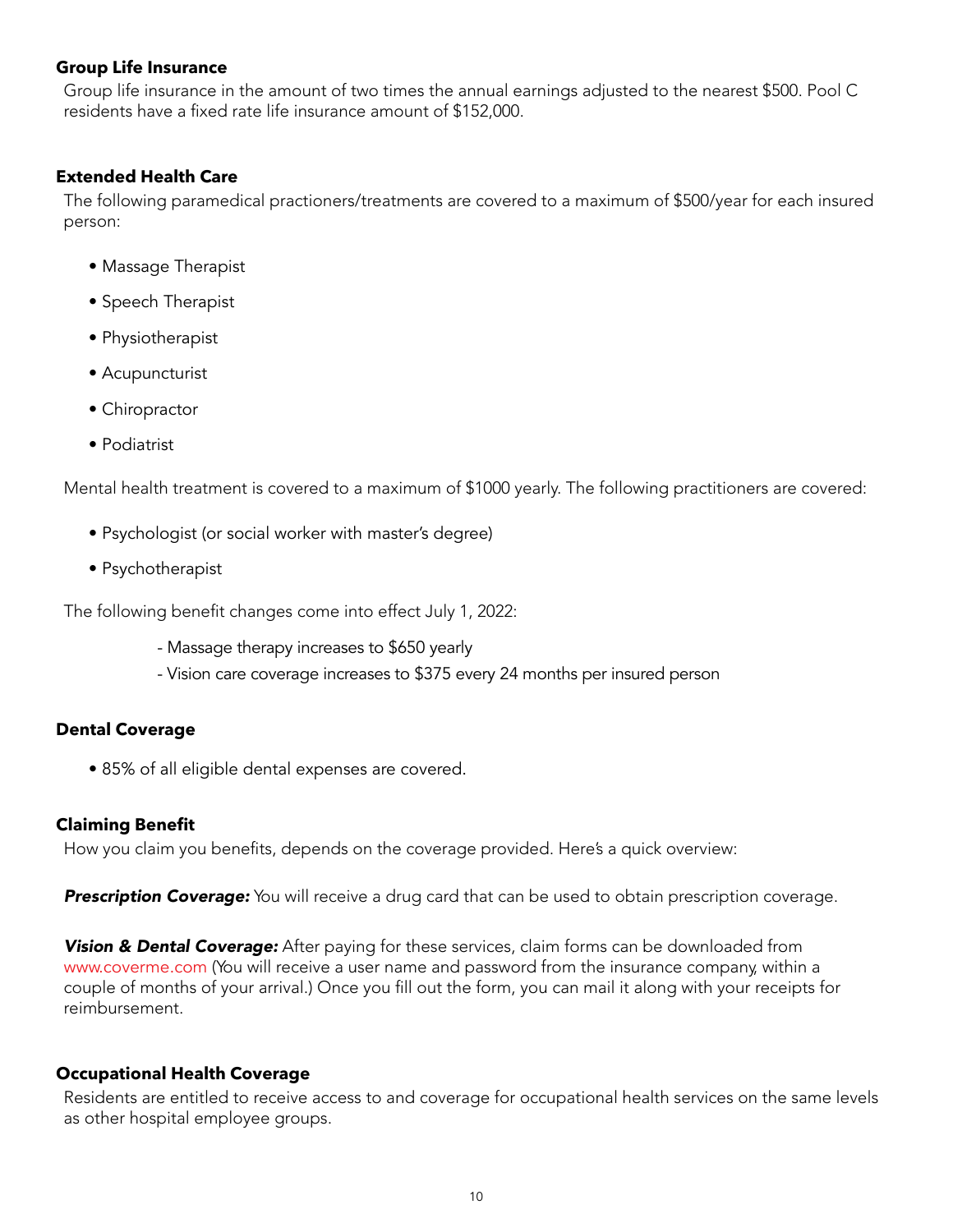### **Group Life Insurance**

Group life insurance in the amount of two times the annual earnings adjusted to the nearest \$500. Pool C residents have a fixed rate life insurance amount of \$152,000.

### **Extended Health Care**

The following paramedical practioners/treatments are covered to a maximum of \$500/year for each insured person:

- Massage Therapist
- Speech Therapist
- Physiotherapist
- Acupuncturist
- Chiropractor
- Podiatrist

Mental health treatment is covered to a maximum of \$1000 yearly. The following practitioners are covered:

- Psychologist (or social worker with master's degree)
- Psychotherapist

The following benefit changes come into effect July 1, 2022:

- Massage therapy increases to \$650 yearly
- Vision care coverage increases to \$375 every 24 months per insured person

### **Dental Coverage**

• 85% of all eligible dental expenses are covered.

### **Claiming Benefit**

How you claim you benefits, depends on the coverage provided. Here's a quick overview:

**Prescription Coverage:** You will receive a drug card that can be used to obtain prescription coverage.

**Vision & Dental Coverage:** After paying for these services, claim forms can be downloaded from www[.coverme.com](http://www.coverme.com/) (You will receive a user name and password from the insurance company, within a couple of months of your arrival.) Once you fill out the form, you can mail it along with your receipts for reimbursement.

### **Occupational Health Coverage**

Residents are entitled to receive access to and coverage for occupational health services on the same levels as other hospital employee groups.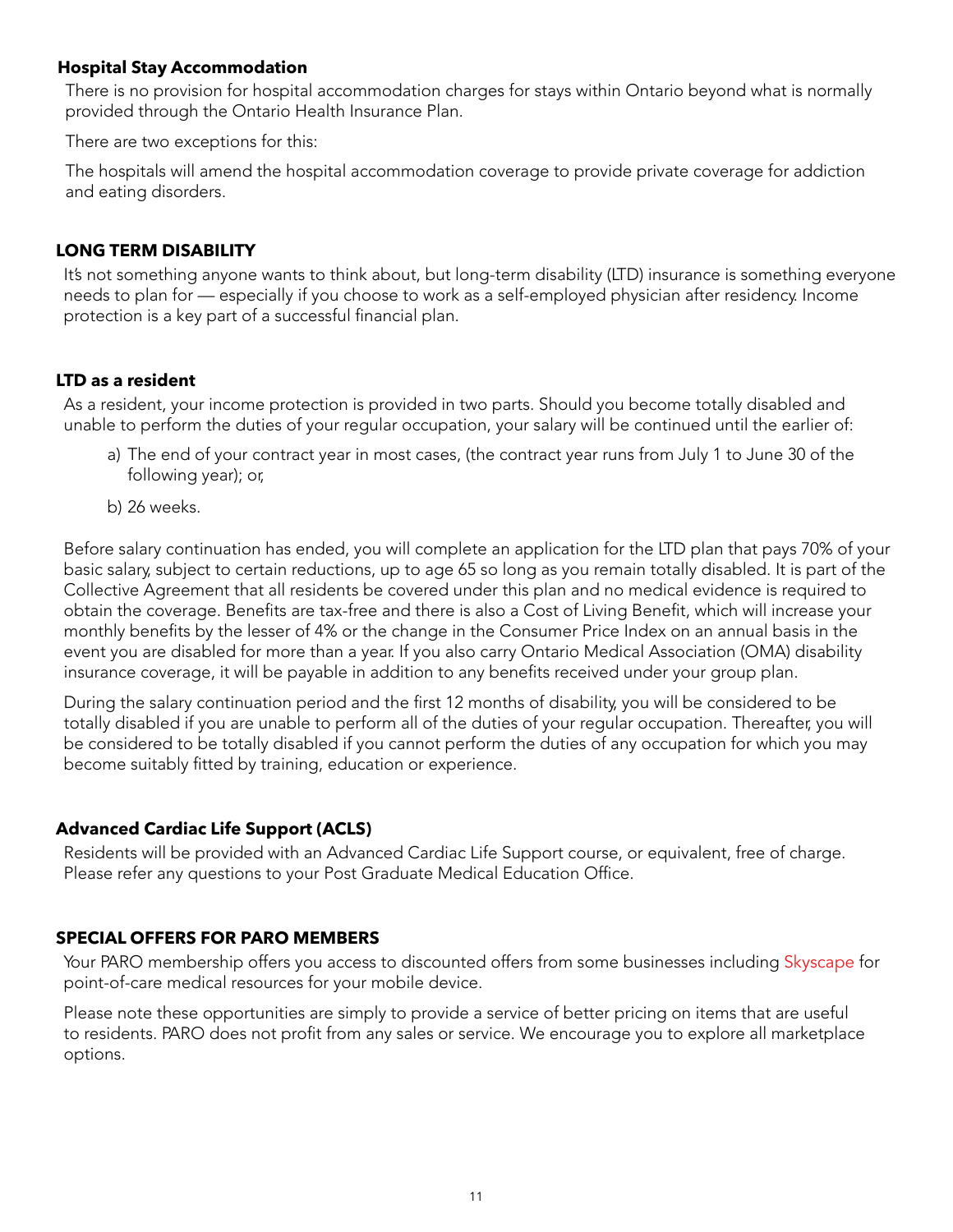### **Hospital Stay Accommodation**

There is no provision for hospital accommodation charges for stays within Ontario beyond what is normally provided through the Ontario Health Insurance Plan.

There are two exceptions for this:

The hospitals will amend the hospital accommodation coverage to provide private coverage for addiction and eating disorders.

### **LONG TERM DISABILITY**

It's not something anyone wants to think about, but long-term disability (LTD) insurance is something everyone needs to plan for — especially if you choose to work as a self-employed physician after residency. Income protection is a key part of a successful financial plan.

### **LTD as a resident**

As a resident, your income protection is provided in two parts. Should you become totally disabled and unable to perform the duties of your regular occupation, your salary will be continued until the earlier of:

- a) The end of your contract year in most cases, (the contract year runs from July 1 to June 30 of the following year); or,
- b) 26 weeks.

Before salary continuation has ended, you will complete an application for the LTD plan that pays 70% of your basic salary, subject to certain reductions, up to age 65 so long as you remain totally disabled. It is part of the Collective Agreement that all residents be covered under this plan and no medical evidence is required to obtain the coverage. Benefits are tax-free and there is also a Cost of Living Benefit, which will increase your monthly benefits by the lesser of 4% or the change in the Consumer Price Index on an annual basis in the event you are disabled for more than a year. If you also carry Ontario Medical Association (OMA) disability insurance coverage, it will be payable in addition to any benefits received under your group plan.

During the salary continuation period and the first 12 months of disability, you will be considered to be totally disabled if you are unable to perform all of the duties of your regular occupation. Thereafter, you will be considered to be totally disabled if you cannot perform the duties of any occupation for which you may become suitably fitted by training, education or experience.

### **Advanced Cardiac Life Support (ACLS)**

Residents will be provided with an Advanced Cardiac Life Support course, or equivalent, free of charge. Please refer any questions to your Post Graduate Medical Education Office.

### **SPECIAL OFFERS FOR PARO MEMBERS**

Your PARO membership offers you access to discounted offers from some businesses including [Skyscape](http://www.skyscape.com/smartrain/smartraindb.aspx?data=kXjoKSSsH8NX9bVQHwgVDkil3HGvUPnDoZSwQKg530XCrM%2bL9bzSlOdWCJtwWCY1&WT.mc_id=55532) for point-of-care medical resources for your mobile device.

Please note these opportunities are simply to provide a service of better pricing on items that are useful to residents. PARO does not profit from any sales or service. We encourage you to explore all marketplace options.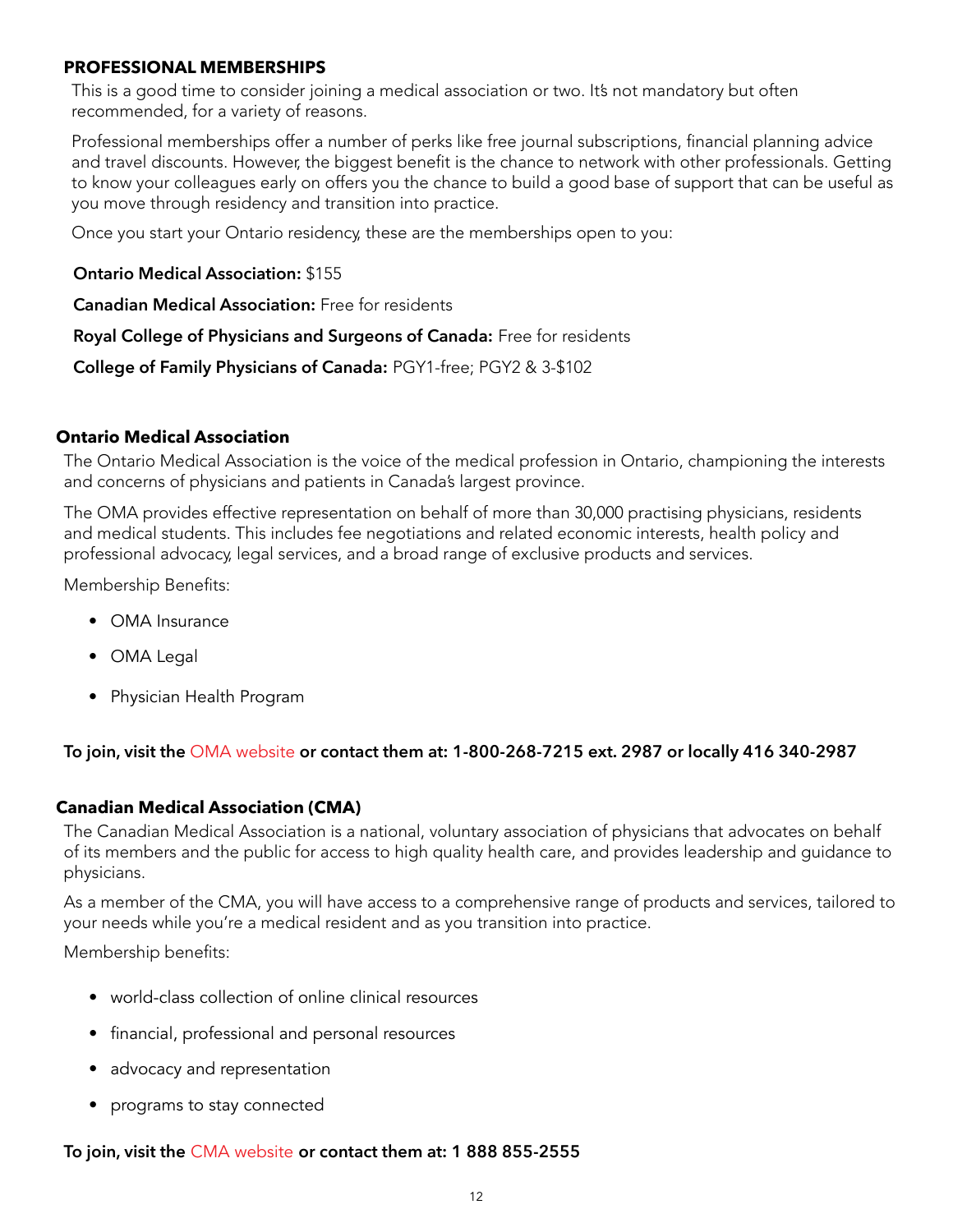### <span id="page-13-0"></span>**PROFESSIONAL MEMBERSHIPS**

This is a good time to consider joining a medical association or two. It's not mandatory but often recommended, for a variety of reasons.

Professional memberships offer a number of perks like free journal subscriptions, financial planning advice and travel discounts. However, the biggest benefit is the chance to network with other professionals. Getting to know your colleagues early on offers you the chance to build a good base of support that can be useful as you move through residency and transition into practice.

Once you start your Ontario residency, these are the memberships open to you:

**Ontario Medical Association:** \$155

**Canadian Medical Association:** Free for residents

**Royal College of Physicians and Surgeons of Canada:** Free for residents

**College of Family Physicians of Canada:** PGY1-free; PGY2 & 3-\$102

### **Ontario Medical Association**

The Ontario Medical Association is the voice of the medical profession in Ontario, championing the interests and concerns of physicians and patients in Canada's largest province.

The OMA provides effective representation on behalf of more than 30,000 practising physicians, residents and medical students. This includes fee negotiations and related economic interests, health policy and professional advocacy, legal services, and a broad range of exclusive products and services.

Membership Benefits:

- OMA Insurance
- OMA Legal
- Physician Health Program

**To join, visit the** [OMA website](https://www.oma.org/what-we-do/membership/) **or contact them at: 1-800-268-7215 ext. 2987 or locally 416 340-2987**

### **Canadian Medical Association (CMA)**

The Canadian Medical Association is a national, voluntary association of physicians that advocates on behalf of its members and the public for access to high quality health care, and provides leadership and guidance to physicians.

As a member of the CMA, you will have access to a comprehensive range of products and services, tailored to your needs while you're a medical resident and as you transition into practice.

Membership benefits:

- world-class collection of online clinical resources
- financial, professional and personal resources
- advocacy and representation
- programs to stay connected

### **To join, visit the** [CMA website](https://www.cma.ca/resources-residents) **or contact them at: 1 888 855-2555**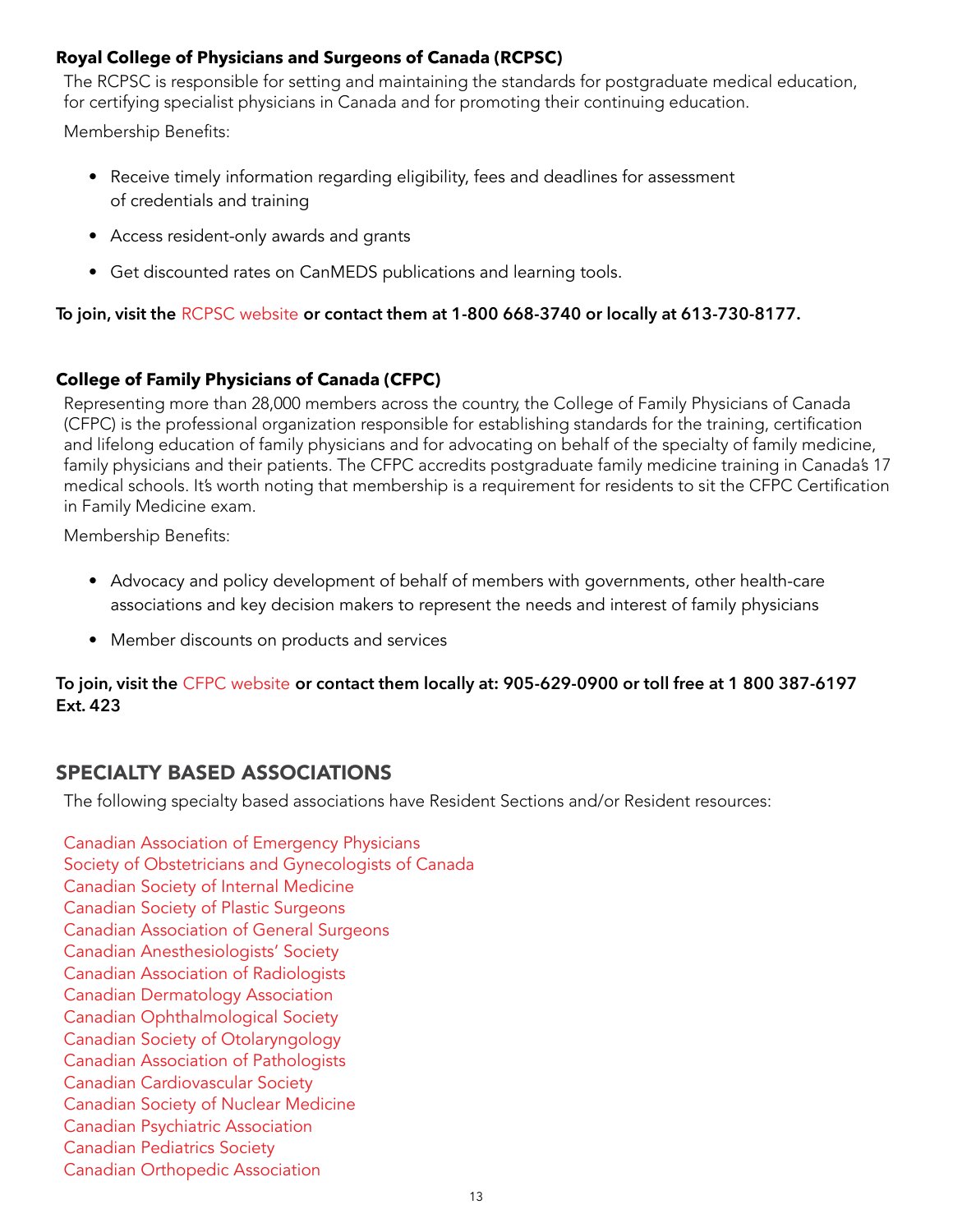### **Royal College of Physicians and Surgeons of Canada (RCPSC)**

The RCPSC is responsible for setting and maintaining the standards for postgraduate medical education, for certifying specialist physicians in Canada and for promoting their continuing education.

Membership Benefits:

- Receive timely information regarding eligibility, fees and deadlines for assessment of credentials and training
- Access resident-only awards and grants
- Get discounted rates on CanMEDS publications and learning tools.

**To join, visit the** [RCPSC website](http://www.royalcollege.ca/rcsite/membership/join-the-royal-college/become-resident-affiliate-e) **or contact them at 1-800 668-3740 or locally at 613-730-8177.**

# **College of Family Physicians of Canada (CFPC)**

Representing more than 28,000 members across the country, the College of Family Physicians of Canada (CFPC) is the professional organization responsible for establishing standards for the training, certification and lifelong education of family physicians and for advocating on behalf of the specialty of family medicine, family physicians and their patients. The CFPC accredits postgraduate family medicine training in Canada's 17 medical schools. It's worth noting that membership is a requirement for residents to sit the CFPC Certification in Family Medicine exam.

Membership Benefits:

- Advocacy and policy development of behalf of members with governments, other health-care associations and key decision makers to represent the needs and interest of family physicians
- Member discounts on products and services

### **To join, visit the** [CFPC website](https://cfpc.ca/en/member-services/for-residents) **or contact them locally at: 905-629-0900 or toll free at 1 800 387-6197 Ext. 423**

# SPECIALTY BASED ASSOCIATIONS

The following specialty based associations have Resident Sections and/or Resident resources:

[Canadian Association of Emergency Physicians](http://www.caep.ca/)  [Society of Obstetricians and Gynecologists of Canada](https://sogc.org/) [Canadian Society of Internal Medicine](http://csim.ca/)  [Canadian Society of Plastic Surgeons](http://plasticsurgery.ca/)  [Canadian Association of General Surgeons](https://cags-accg.ca/)  [Canadian Anesthesiologists' Society](http://www.cas.ca/English/Home.aspx)  [Canadian Association of Radiologists](https://car.ca/)  [Canadian Dermatology Association](https://dermatology.ca/)  [Canadian Ophthalmological Society](http://www.cos-sco.ca/) [Canadian Society of Otolaryngology](https://www.entcanada.org/)  [Canadian Association of Pathologists](http://cap-acp.org/)  [Canadian Cardiovascular Society](http://www.ccs.ca/en/)  [Canadian Society of Nuclear Medicine](https://canm-acmn.ca/)  [Canadian Psychiatric Association](https://www.cpa-apc.org/)  [Canadian Pediatrics Society](www.cps.ca)  [Canadian Orthopedic Association](http://coa-aco.org/)